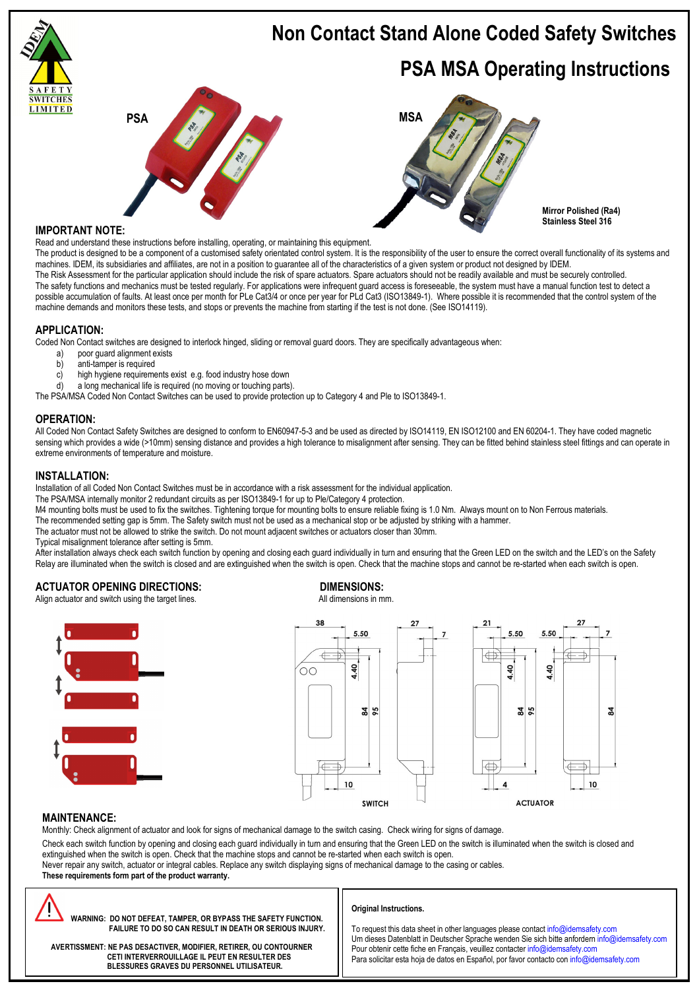

# **IMPORTANT NOTE:**

Read and understand these instructions before installing, operating, or maintaining this equipment.

The product is designed to be a component of a customised safety orientated control system. It is the responsibility of the user to ensure the correct overall functionality of its systems and machines. IDEM, its subsidiaries and affiliates, are not in a position to guarantee all of the characteristics of a given system or product not designed by IDEM. The Risk Assessment for the particular application should include the risk of spare actuators. Spare actuators should not be readily available and must be securely controlled. The safety functions and mechanics must be tested regularly. For applications were infrequent guard access is foreseeable, the system must have a manual function test to detect a possible accumulation of faults. At least once per month for PLe Cat3/4 or once per year for PLd Cat3 (ISO13849-1). Where possible it is recommended that the control system of the machine demands and monitors these tests, and stops or prevents the machine from starting if the test is not done. (See ISO14119).

# **APPLICATION:**

Coded Non Contact switches are designed to interlock hinged, sliding or removal guard doors. They are specifically advantageous when:<br>a) poor quard alignment exists

- poor guard alignment exists
- b) anti-tamper is required
- c) high hygiene requirements exist e.g. food industry hose down
- d) a long mechanical life is required (no moving or touching parts).

The PSA/MSA Coded Non Contact Switches can be used to provide protection up to Category 4 and Ple to ISO13849-1.

# **OPERATION:**

All Coded Non Contact Safety Switches are designed to conform to EN60947-5-3 and be used as directed by ISO14119, EN ISO12100 and EN 60204-1. They have coded magnetic sensing which provides a wide (>10mm) sensing distance and provides a high tolerance to misalignment after sensing. They can be fitted behind stainless steel fittings and can operate in extreme environments of temperature and moisture.

# **INSTALLATION:**

Installation of all Coded Non Contact Switches must be in accordance with a risk assessment for the individual application.

The PSA/MSA internally monitor 2 redundant circuits as per ISO13849-1 for up to Ple/Category 4 protection.

M4 mounting bolts must be used to fix the switches. Tightening torque for mounting bolts to ensure reliable fixing is 1.0 Nm. Always mount on to Non Ferrous materials.

- The recommended setting gap is 5mm. The Safety switch must not be used as a mechanical stop or be adjusted by striking with a hammer.
- The actuator must not be allowed to strike the switch. Do not mount adjacent switches or actuators closer than 30mm.

Typical misalignment tolerance after setting is 5mm.

After installation always check each switch function by opening and closing each guard individually in turn and ensuring that the Green LED on the switch and the LED's on the Safety Relay are illuminated when the switch is closed and are extinguished when the switch is open. Check that the machine stops and cannot be re-started when each switch is open.

# **ACTUATOR OPENING DIRECTIONS: DIMENSIONS: DIMENSIONS**: **Align actuator and switch using the farget lines DIMENSIONS All dimensions in mm**

Align actuator and switch using the target lines.





# **MAINTENANCE:**

Monthly: Check alignment of actuator and look for signs of mechanical damage to the switch casing. Check wiring for signs of damage.

Check each switch function by opening and closing each guard individually in turn and ensuring that the Green LED on the switch is illuminated when the switch is closed and extinguished when the switch is open. Check that the machine stops and cannot be re-started when each switch is open.

Never repair any switch, actuator or integral cables. Replace any switch displaying signs of mechanical damage to the casing or cables.

**These requirements form part of the product warranty.** 



 **WARNING: DO NOT DEFEAT, TAMPER, OR BYPASS THE SAFETY FUNCTION. FAILURE TO DO SO CAN RESULT IN DEATH OR SERIOUS INJURY.** 

# **Original Instructions.**

To request this data sheet in other languages please contact info@idemsafety.com Um dieses Datenblatt in Deutscher Sprache wenden Sie sich bitte anfordern info@idemsafety.com Pour obtenir cette fiche en Français, veuillez contacter info@idemsafety.com Para solicitar esta hoja de datos en Español, por favor contacto con info@idemsafety.com

 **AVERTISSMENT: NE PAS DESACTIVER, MODIFIER, RETIRER, OU CONTOURNER CETI INTERVERROUILLAGE IL PEUT EN RESULTER DES BLESSURES GRAVES DU PERSONNEL UTILISATEUR.**